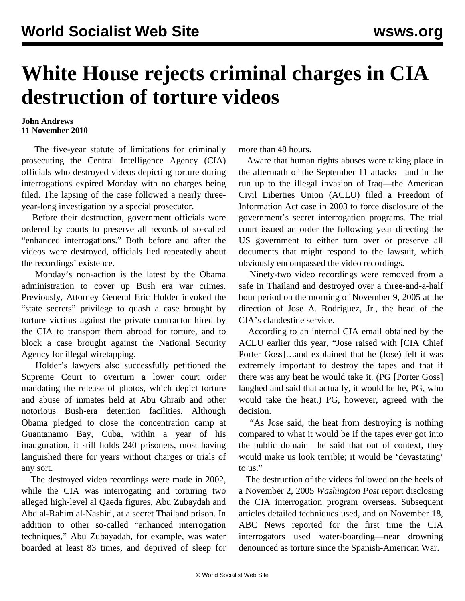## **White House rejects criminal charges in CIA destruction of torture videos**

## **John Andrews 11 November 2010**

 The five-year statute of limitations for criminally prosecuting the Central Intelligence Agency (CIA) officials who destroyed videos depicting torture during interrogations expired Monday with no charges being filed. The lapsing of the case followed a nearly threeyear-long investigation by a special prosecutor.

 Before their destruction, government officials were ordered by courts to preserve all records of so-called "enhanced interrogations." Both before and after the videos were destroyed, officials lied repeatedly about the recordings' existence.

 Monday's non-action is the latest by the Obama administration to cover up Bush era war crimes. Previously, Attorney General Eric Holder invoked the "state secrets" privilege to quash a case brought by torture victims against the private contractor hired by the CIA to transport them abroad for torture, and to block a case brought against the National Security Agency for illegal wiretapping.

 Holder's lawyers also successfully petitioned the Supreme Court to overturn a lower court order mandating the release of photos, which depict torture and abuse of inmates held at Abu Ghraib and other notorious Bush-era detention facilities. Although Obama pledged to close the concentration camp at Guantanamo Bay, Cuba, within a year of his inauguration, it still holds 240 prisoners, most having languished there for years without charges or trials of any sort.

 The destroyed video recordings were made in 2002, while the CIA was interrogating and torturing two alleged high-level al Qaeda figures, Abu Zubaydah and Abd al-Rahim al-Nashiri, at a secret Thailand prison. In addition to other so-called "enhanced interrogation techniques," Abu Zubayadah, for example, was water boarded at least 83 times, and deprived of sleep for

more than 48 hours.

 Aware that human rights abuses were taking place in the aftermath of the September 11 attacks—and in the run up to the illegal invasion of Iraq—the American Civil Liberties Union (ACLU) filed a Freedom of Information Act case in 2003 to force disclosure of the government's secret interrogation programs. The trial court issued an order the following year directing the US government to either turn over or preserve all documents that might respond to the lawsuit, which obviously encompassed the video recordings.

 Ninety-two video recordings were removed from a safe in Thailand and destroyed over a three-and-a-half hour period on the morning of November 9, 2005 at the direction of Jose A. Rodriguez, Jr., the head of the CIA's clandestine service.

 According to an internal CIA email obtained by the ACLU earlier this year, "Jose raised with [CIA Chief Porter Goss]…and explained that he (Jose) felt it was extremely important to destroy the tapes and that if there was any heat he would take it. (PG [Porter Goss] laughed and said that actually, it would be he, PG, who would take the heat.) PG, however, agreed with the decision.

 "As Jose said, the heat from destroying is nothing compared to what it would be if the tapes ever got into the public domain—he said that out of context, they would make us look terrible; it would be 'devastating' to us."

 The destruction of the videos followed on the heels of a November 2, 2005 *Washington Post* report disclosing the CIA interrogation program overseas. Subsequent articles detailed techniques used, and on November 18, ABC News reported for the first time the CIA interrogators used water-boarding—near drowning denounced as torture since the Spanish-American War.